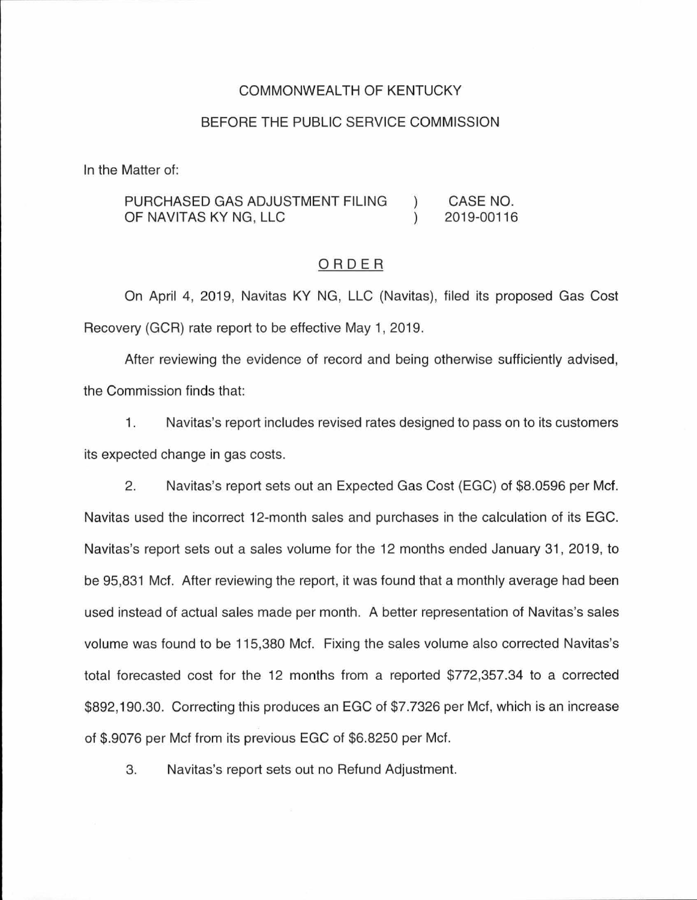### COMMONWEALTH OF KENTUCKY

### BEFORE THE PUBLIC SERVICE COMMISSION

In the Matter of:

#### PURCHASED GAS ADJUSTMENT FILING CASE NO.  $\lambda$ OF NAVITAS KY NG, LLC  $\lambda$ 2019-00116

### ORDER

On April 4, 2019, Navitas KY NG, LLC (Navitas), filed its proposed Gas Cost Recovery (GCR) rate report to be effective May 1, 2019.

After reviewing the evidence of record and being otherwise sufficiently advised, the Commission finds that:

1. Navitas's report includes revised rates designed to pass on to its customers its expected change in gas costs.

2. Navitas's report sets out an Expected Gas Cost (EGC) of \$8.0596 per Mcf. Navitas used the incorrect 12-month sales and purchases in the calculation of its EGC. Navitas's report sets out a sales volume for the 12 months ended January 31 , 2019, to be 95,831 Mcf. After reviewing the report, it was found that a monthly average had been used instead of actual sales made per month. A better representation of Navitas's sales volume was found to be 115,380 Mcf. Fixing the sales volume also corrected Navitas's total forecasted cost for the 12 months from a reported \$772,357.34 to a corrected \$892, 190.30. Correcting this produces an EGC of \$7.7326 per Mcf, which is an increase of \$.9076 per Mcf from its previous EGC of \$6.8250 per Mcf.

3. Navitas's report sets out no Refund Adjustment.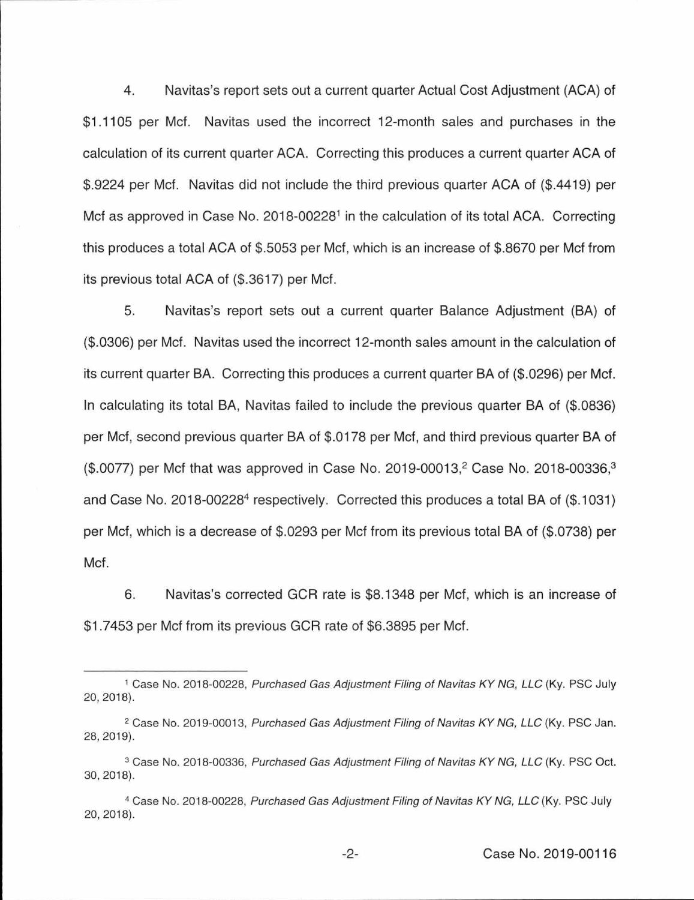4. Navitas's report sets out a current quarter Actual Cost Adjustment (ACA) of \$1 .1105 per Met. Navitas used the incorrect 12-month sales and purchases in the calculation of its current quarter ACA. Correcting this produces a current quarter ACA of \$.9224 per Met. Navitas did not include the third previous quarter ACA of (\$.4419) per Met as approved in Case No. 2018-00228<sup>1</sup> in the calculation of its total ACA. Correcting this produces a total ACA of \$.5053 per Met, which is an increase of \$.8670 per Met from its previous total ACA of (\$.3617) per Met.

5. Navitas's report sets out a current quarter Balance Adjustment (BA) of (\$.0306) per Met. Navitas used the incorrect 12-month sales amount in the calculation of its current quarter BA. Correcting this produces a current quarter BA of (\$.0296) per Met. In calculating its total BA, Navitas failed to include the previous quarter BA of (\$.0836) per Met, second previous quarter BA of \$.0178 per Met, and third previous quarter BA of (\$.0077) per Mcf that was approved in Case No. 2019-00013,<sup>2</sup> Case No. 2018-00336,<sup>3</sup> and Case No. 2018-00228<sup>4</sup> respectively. Corrected this produces a total BA of (\$.1031) per Met, which is a decrease of \$.0293 per Met from its previous total BA of (\$.0738) per Met.

6. Navitas's corrected GCR rate is \$8.1348 per Met, which is an increase of \$1 .7453 per Met from its previous GCR rate of \$6.3895 per Met.

<sup>1</sup>Case No. 2018-00228, Purchased Gas Adjustment Filing of Navitas KY NG, LLC (Ky. PSC July 20, 2018).

<sup>&</sup>lt;sup>2</sup> Case No. 2019-00013, Purchased Gas Adjustment Filing of Navitas KY NG, LLC (Ky. PSC Jan. 28, 2019).

<sup>&</sup>lt;sup>3</sup> Case No. 2018-00336, Purchased Gas Adjustment Filing of Navitas KY NG, LLC (Ky. PSC Oct. 30, 2018).

<sup>4</sup> Case No. 2018-00228, Purchased Gas Adjustment Filing of Navitas KY NG, LLC (Ky. PSC July 20, 2018).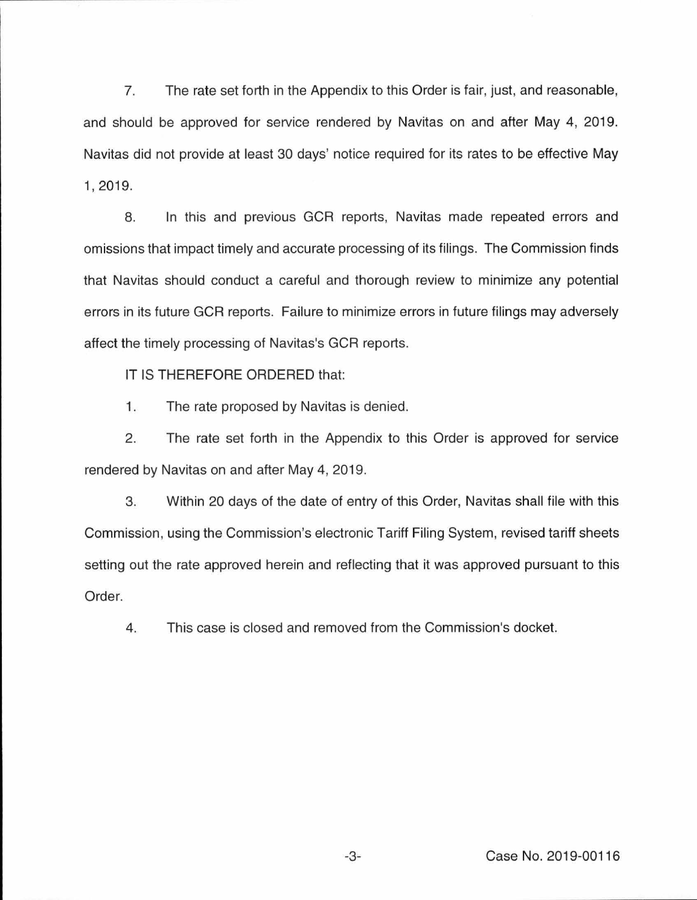7. The rate set forth in the Appendix to this Order is fair, just, and reasonable, and should be approved for service rendered by Navitas on and after May 4, 2019. Navitas did not provide at least 30 days' notice required for its rates to be effective May 1, 2019.

8. In this and previous GCR reports, Navitas made repeated errors and omissions that impact timely and accurate processing of its filings. The Commission finds that Navitas should conduct a careful and thorough review to minimize any potential errors in its future GCR reports. Failure to minimize errors in future filings may adversely affect the timely processing of Navitas's GCR reports.

IT IS THEREFORE ORDERED that:

1. The rate proposed by Navitas is denied.

2. The rate set forth in the Appendix to this Order is approved for service rendered by Navitas on and after May 4, 2019.

3. Within 20 days of the date of entry of this Order, Navitas shall file with this Commission, using the Commission's electronic Tariff Filing System, revised tariff sheets setting out the rate approved herein and reflecting that it was approved pursuant to this Order.

4. This case is closed and removed from the Commission's docket.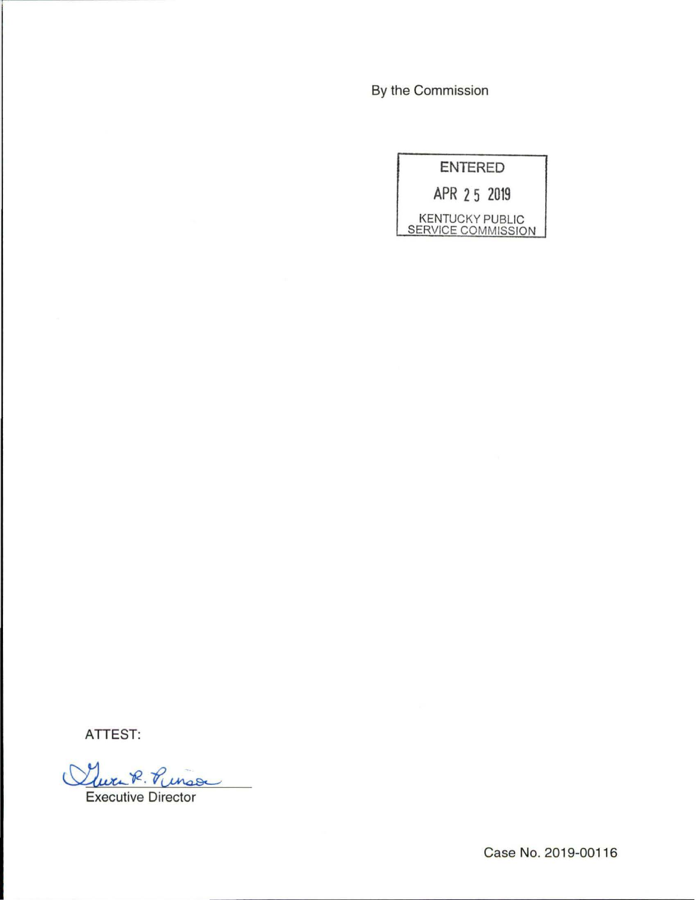By the Commission



ATTEST:

Clure R. Rings

Executive Director

Case No. 2019-00116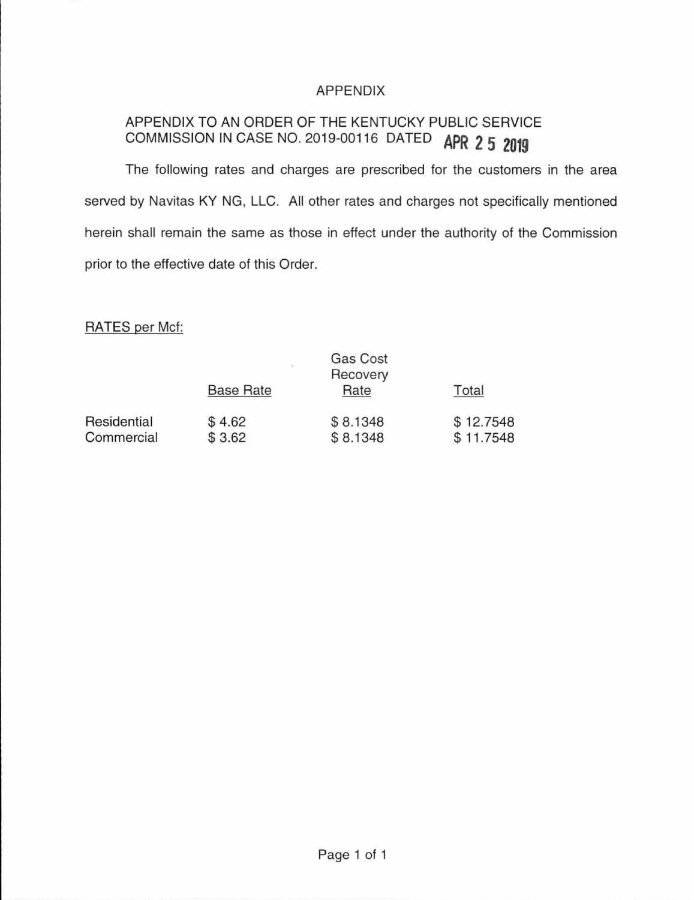# APPENDIX

# APPENDIX TO AN ORDER OF THE KENTUCKY PUBLIC SERVICE COMMISSION IN CASE NO. 2019-00116 DATED **APR 2 5 2019**

The following rates and charges are prescribed for the customers in the area served by Navitas KY NG, LLC. All other rates and charges not specifically mentioned herein shall remain the same as those in effect under the authority of the Commission prior to the effective date of this Order.

## RATES per Mcf:

|                           |                  | Gas Cost<br>Recovery |                        |  |
|---------------------------|------------------|----------------------|------------------------|--|
|                           | <b>Base Rate</b> | Rate                 | Total                  |  |
| Residential<br>Commercial | \$4.62<br>\$3.62 | \$8.1348<br>\$8.1348 | \$12.7548<br>\$11.7548 |  |
|                           |                  |                      |                        |  |